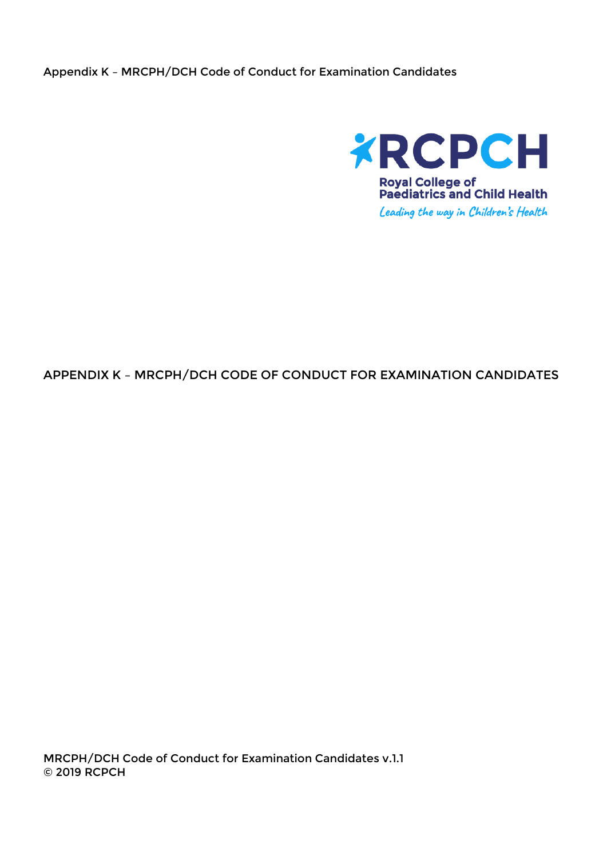Appendix K – MRCPH/DCH Code of Conduct for Examination Candidates



#### APPENDIX K – MRCPH/DCH CODE OF CONDUCT FOR EXAMINATION CANDIDATES

MRCPH/DCH Code of Conduct for Examination Candidates v.1.1 © 2019 RCPCH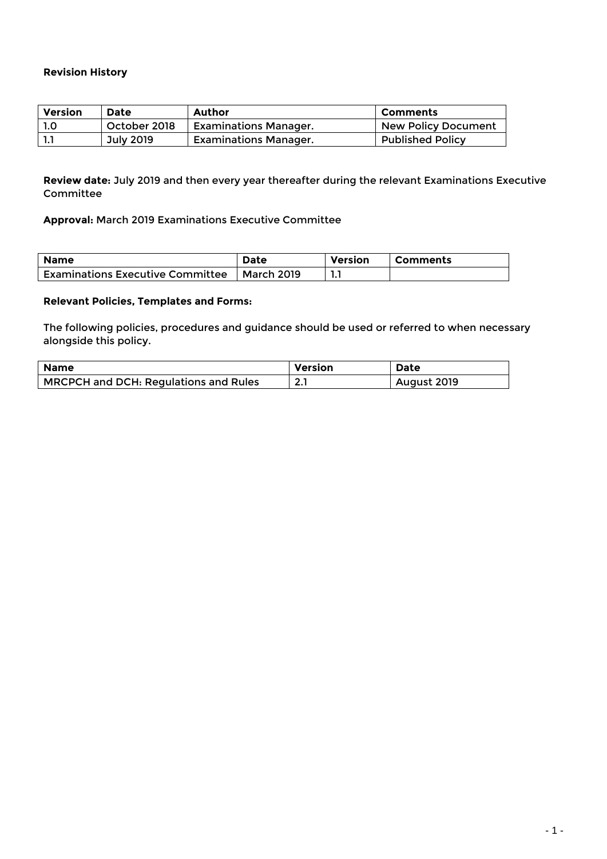#### **Revision History**

| <b>Version</b> | <b>Date</b>  | Author                       | l Comments                 |
|----------------|--------------|------------------------------|----------------------------|
| -1.O           | October 2018 | <b>Examinations Manager.</b> | <b>New Policy Document</b> |
|                | July 2019    | <b>Examinations Manager.</b> | <b>Published Policy</b>    |

**Review date:** July 2019 and then every year thereafter during the relevant Examinations Executive Committee

**Approval:** March 2019 Examinations Executive Committee

| <b>Name</b>                             | <b>Date</b> | Version | Comments |
|-----------------------------------------|-------------|---------|----------|
| <b>Examinations Executive Committee</b> | March 2019  |         |          |

#### **Relevant Policies, Templates and Forms:**

The following policies, procedures and guidance should be used or referred to when necessary alongside this policy.

| <b>Name</b>                                  | Version       | <b>Date</b> |
|----------------------------------------------|---------------|-------------|
| <b>MRCPCH and DCH: Regulations and Rules</b> | ຳ<br><u>.</u> | August 2019 |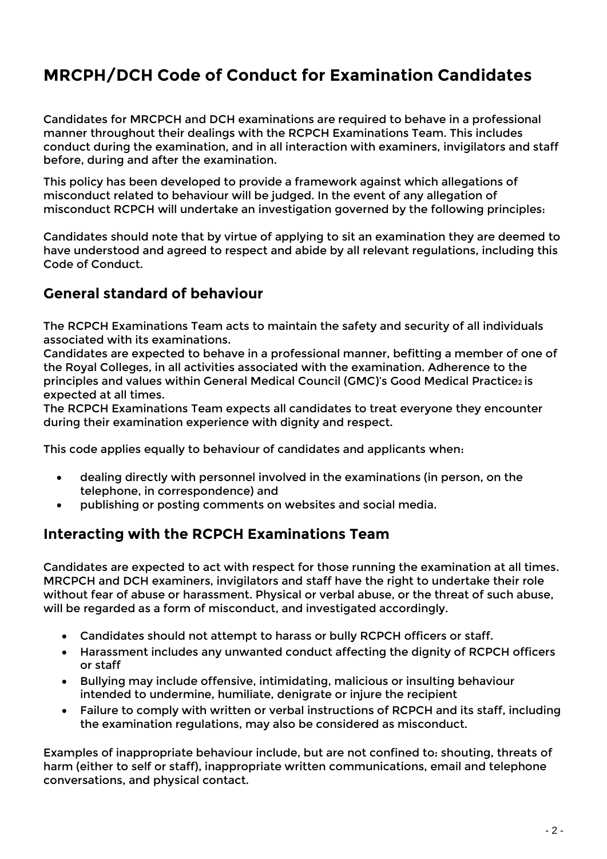# **MRCPH/DCH Code of Conduct for Examination Candidates**

Candidates for MRCPCH and DCH examinations are required to behave in a professional manner throughout their dealings with the RCPCH Examinations Team. This includes conduct during the examination, and in all interaction with examiners, invigilators and staff before, during and after the examination.

This policy has been developed to provide a framework against which allegations of misconduct related to behaviour will be judged. In the event of any allegation of misconduct RCPCH will undertake an investigation governed by the following principles:

Candidates should note that by virtue of applying to sit an examination they are deemed to have understood and agreed to respect and abide by all relevant regulations, including this Code of Conduct.

## **General standard of behaviour**

The RCPCH Examinations Team acts to maintain the safety and security of all individuals associated with its examinations.

Candidates are expected to behave in a professional manner, befitting a member of one of the Royal Colleges, in all activities associated with the examination. Adherence to the principles and values within General Medical Council (GMC)'s Good Medical Practice2 is expected at all times.

The RCPCH Examinations Team expects all candidates to treat everyone they encounter during their examination experience with dignity and respect.

This code applies equally to behaviour of candidates and applicants when:

- dealing directly with personnel involved in the examinations (in person, on the telephone, in correspondence) and
- publishing or posting comments on websites and social media.

### **Interacting with the RCPCH Examinations Team**

Candidates are expected to act with respect for those running the examination at all times. MRCPCH and DCH examiners, invigilators and staff have the right to undertake their role without fear of abuse or harassment. Physical or verbal abuse, or the threat of such abuse, will be regarded as a form of misconduct, and investigated accordingly.

- Candidates should not attempt to harass or bully RCPCH officers or staff.
- Harassment includes any unwanted conduct affecting the dignity of RCPCH officers or staff
- Bullying may include offensive, intimidating, malicious or insulting behaviour intended to undermine, humiliate, denigrate or injure the recipient
- Failure to comply with written or verbal instructions of RCPCH and its staff, including the examination regulations, may also be considered as misconduct.

Examples of inappropriate behaviour include, but are not confined to: shouting, threats of harm (either to self or staff), inappropriate written communications, email and telephone conversations, and physical contact.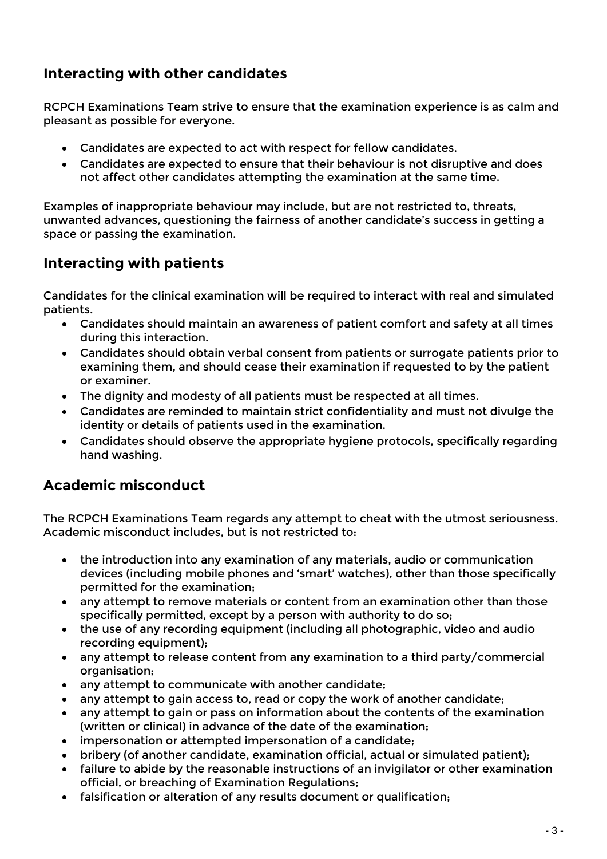# **Interacting with other candidates**

RCPCH Examinations Team strive to ensure that the examination experience is as calm and pleasant as possible for everyone.

- Candidates are expected to act with respect for fellow candidates.
- Candidates are expected to ensure that their behaviour is not disruptive and does not affect other candidates attempting the examination at the same time.

Examples of inappropriate behaviour may include, but are not restricted to, threats, unwanted advances, questioning the fairness of another candidate's success in getting a space or passing the examination.

# **Interacting with patients**

Candidates for the clinical examination will be required to interact with real and simulated patients.

- Candidates should maintain an awareness of patient comfort and safety at all times during this interaction.
- Candidates should obtain verbal consent from patients or surrogate patients prior to examining them, and should cease their examination if requested to by the patient or examiner.
- The dignity and modesty of all patients must be respected at all times.
- Candidates are reminded to maintain strict confidentiality and must not divulge the identity or details of patients used in the examination.
- Candidates should observe the appropriate hygiene protocols, specifically regarding hand washing.

### **Academic misconduct**

The RCPCH Examinations Team regards any attempt to cheat with the utmost seriousness. Academic misconduct includes, but is not restricted to:

- the introduction into any examination of any materials, audio or communication devices (including mobile phones and 'smart' watches), other than those specifically permitted for the examination;
- any attempt to remove materials or content from an examination other than those specifically permitted, except by a person with authority to do so;
- the use of any recording equipment (including all photographic, video and audio recording equipment);
- any attempt to release content from any examination to a third party/commercial organisation;
- any attempt to communicate with another candidate;
- any attempt to gain access to, read or copy the work of another candidate;
- any attempt to gain or pass on information about the contents of the examination (written or clinical) in advance of the date of the examination;
- impersonation or attempted impersonation of a candidate;
- bribery (of another candidate, examination official, actual or simulated patient);
- failure to abide by the reasonable instructions of an invigilator or other examination official, or breaching of Examination Regulations;
- falsification or alteration of any results document or qualification;